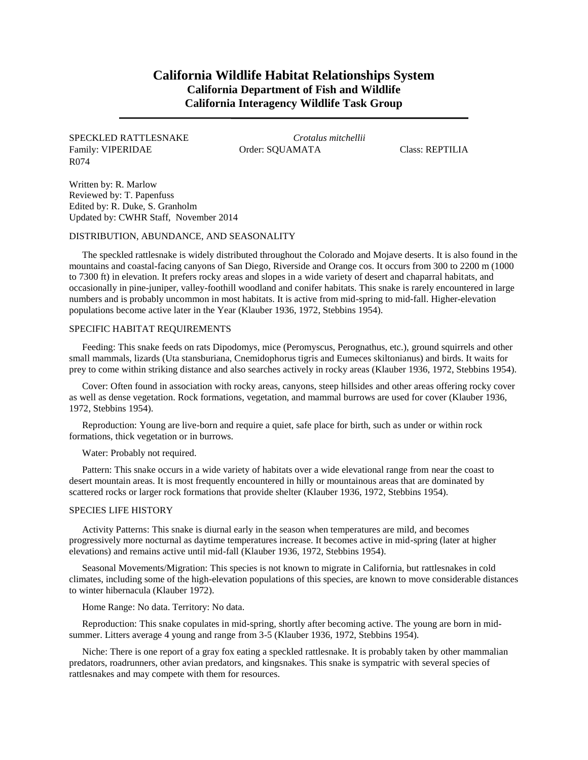# **California Wildlife Habitat Relationships System California Department of Fish and Wildlife California Interagency Wildlife Task Group**

## SPECKLED RATTLESNAKE *Crotalus mitchellii* Family: VIPERIDAE Order: SQUAMATA Class: REPTILIA R074

Written by: R. Marlow Reviewed by: T. Papenfuss Edited by: R. Duke, S. Granholm Updated by: CWHR Staff, November 2014

## DISTRIBUTION, ABUNDANCE, AND SEASONALITY

The speckled rattlesnake is widely distributed throughout the Colorado and Mojave deserts. It is also found in the mountains and coastal-facing canyons of San Diego, Riverside and Orange cos. It occurs from 300 to 2200 m (1000 to 7300 ft) in elevation. It prefers rocky areas and slopes in a wide variety of desert and chaparral habitats, and occasionally in pine-juniper, valley-foothill woodland and conifer habitats. This snake is rarely encountered in large numbers and is probably uncommon in most habitats. It is active from mid-spring to mid-fall. Higher-elevation populations become active later in the Year (Klauber 1936, 1972, Stebbins 1954).

#### SPECIFIC HABITAT REQUIREMENTS

Feeding: This snake feeds on rats Dipodomys, mice (Peromyscus, Perognathus, etc.), ground squirrels and other small mammals, lizards (Uta stansburiana, Cnemidophorus tigris and Eumeces skiltonianus) and birds. It waits for prey to come within striking distance and also searches actively in rocky areas (Klauber 1936, 1972, Stebbins 1954).

Cover: Often found in association with rocky areas, canyons, steep hillsides and other areas offering rocky cover as well as dense vegetation. Rock formations, vegetation, and mammal burrows are used for cover (Klauber 1936, 1972, Stebbins 1954).

Reproduction: Young are live-born and require a quiet, safe place for birth, such as under or within rock formations, thick vegetation or in burrows.

Water: Probably not required.

Pattern: This snake occurs in a wide variety of habitats over a wide elevational range from near the coast to desert mountain areas. It is most frequently encountered in hilly or mountainous areas that are dominated by scattered rocks or larger rock formations that provide shelter (Klauber 1936, 1972, Stebbins 1954).

#### SPECIES LIFE HISTORY

Activity Patterns: This snake is diurnal early in the season when temperatures are mild, and becomes progressively more nocturnal as daytime temperatures increase. It becomes active in mid-spring (later at higher elevations) and remains active until mid-fall (Klauber 1936, 1972, Stebbins 1954).

Seasonal Movements/Migration: This species is not known to migrate in California, but rattlesnakes in cold climates, including some of the high-elevation populations of this species, are known to move considerable distances to winter hibernacula (Klauber 1972).

Home Range: No data. Territory: No data.

Reproduction: This snake copulates in mid-spring, shortly after becoming active. The young are born in midsummer. Litters average 4 young and range from 3-5 (Klauber 1936, 1972, Stebbins 1954).

Niche: There is one report of a gray fox eating a speckled rattlesnake. It is probably taken by other mammalian predators, roadrunners, other avian predators, and kingsnakes. This snake is sympatric with several species of rattlesnakes and may compete with them for resources.